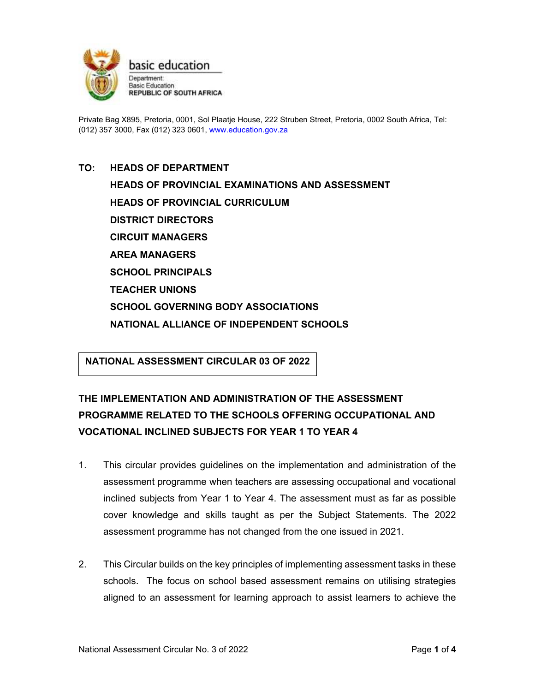

Private Bag X895, Pretoria, 0001, Sol Plaatje House, 222 Struben Street, Pretoria, 0002 South Africa, Tel: (012) 357 3000, Fax (012) 323 0601, www.education.gov.za

# **TO: HEADS OF DEPARTMENT HEADS OF PROVINCIAL EXAMINATIONS AND ASSESSMENT HEADS OF PROVINCIAL CURRICULUM DISTRICT DIRECTORS CIRCUIT MANAGERS AREA MANAGERS SCHOOL PRINCIPALS TEACHER UNIONS SCHOOL GOVERNING BODY ASSOCIATIONS NATIONAL ALLIANCE OF INDEPENDENT SCHOOLS**

**NATIONAL ASSESSMENT CIRCULAR 03 OF 2022**

# **THE IMPLEMENTATION AND ADMINISTRATION OF THE ASSESSMENT PROGRAMME RELATED TO THE SCHOOLS OFFERING OCCUPATIONAL AND VOCATIONAL INCLINED SUBJECTS FOR YEAR 1 TO YEAR 4**

- 1. This circular provides guidelines on the implementation and administration of the assessment programme when teachers are assessing occupational and vocational inclined subjects from Year 1 to Year 4. The assessment must as far as possible cover knowledge and skills taught as per the Subject Statements. The 2022 assessment programme has not changed from the one issued in 2021.
- 2. This Circular builds on the key principles of implementing assessment tasks in these schools. The focus on school based assessment remains on utilising strategies aligned to an assessment for learning approach to assist learners to achieve the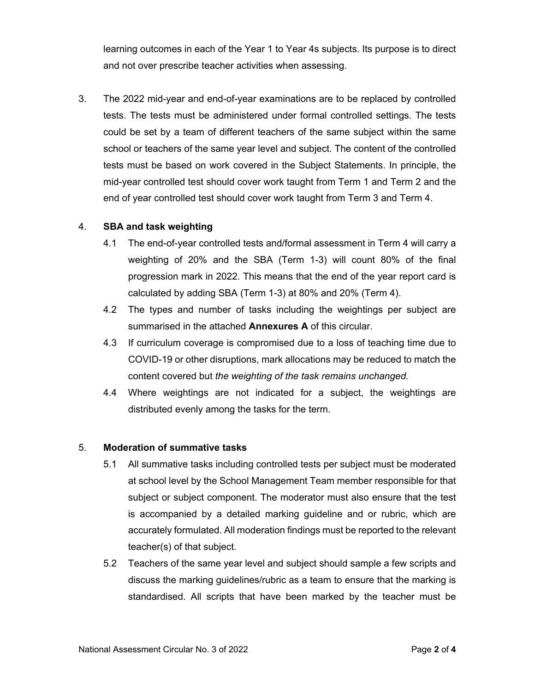learning outcomes in each of the Year 1 to Year 4s subjects. Its purpose is to direct and not over prescribe teacher activities when assessing.

3. The 2022 mid-year and end-of-year examinations are to be replaced by controlled tests. The tests must be administered under formal controlled settings. The tests could be set by a team of different teachers of the same subject within the same school or teachers of the same year level and subject. The content of the controlled tests must be based on work covered in the Subject Statements. In principle, the mid-year controlled test should cover work taught from Term 1 and Term 2 and the end of year controlled test should cover work taught from Term 3 and Term 4.

## 4. **SBA and task weighting**

- 4.1 The end-of-year controlled tests and/formal assessment in Term 4 will carry a weighting of 20% and the SBA (Term 1-3) will count 80% of the final progression mark in 2022. This means that the end of the year report card is calculated by adding SBA (Term 1-3) at 80% and 20% (Term 4).
- 4.2 The types and number of tasks including the weightings per subject are summarised in the attached **Annexures A** of this circular.
- 4.3 If curriculum coverage is compromised due to a loss of teaching time due to COVID-19 or other disruptions, mark allocations may be reduced to match the content covered but *the weighting of the task remains unchanged.*
- 4.4 Where weightings are not indicated for a subject, the weightings are distributed evenly among the tasks for the term.

#### 5. **Moderation of summative tasks**

- 5.1 All summative tasks including controlled tests per subject must be moderated at school level by the School Management Team member responsible for that subject or subject component. The moderator must also ensure that the test is accompanied by a detailed marking guideline and or rubric, which are accurately formulated. All moderation findings must be reported to the relevant teacher(s) of that subject.
- 5.2 Teachers of the same year level and subject should sample a few scripts and discuss the marking guidelines/rubric as a team to ensure that the marking is standardised. All scripts that have been marked by the teacher must be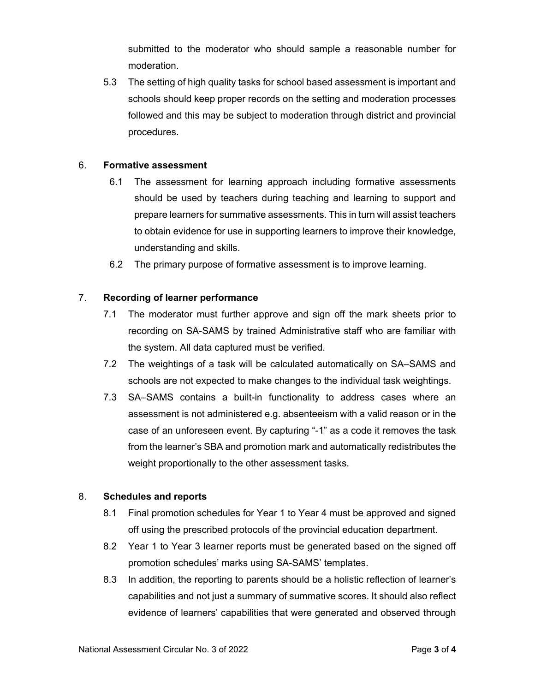submitted to the moderator who should sample a reasonable number for moderation.

5.3 The setting of high quality tasks for school based assessment is important and schools should keep proper records on the setting and moderation processes followed and this may be subject to moderation through district and provincial procedures.

#### 6. **Formative assessment**

- 6.1 The assessment for learning approach including formative assessments should be used by teachers during teaching and learning to support and prepare learners for summative assessments. This in turn will assist teachers to obtain evidence for use in supporting learners to improve their knowledge, understanding and skills.
- 6.2 The primary purpose of formative assessment is to improve learning.

#### 7. **Recording of learner performance**

- 7.1 The moderator must further approve and sign off the mark sheets prior to recording on SA-SAMS by trained Administrative staff who are familiar with the system. All data captured must be verified.
- 7.2 The weightings of a task will be calculated automatically on SA–SAMS and schools are not expected to make changes to the individual task weightings.
- 7.3 SA–SAMS contains a built-in functionality to address cases where an assessment is not administered e.g. absenteeism with a valid reason or in the case of an unforeseen event. By capturing "-1" as a code it removes the task from the learner's SBA and promotion mark and automatically redistributes the weight proportionally to the other assessment tasks.

#### 8. **Schedules and reports**

- 8.1 Final promotion schedules for Year 1 to Year 4 must be approved and signed off using the prescribed protocols of the provincial education department.
- 8.2 Year 1 to Year 3 learner reports must be generated based on the signed off promotion schedules' marks using SA-SAMS' templates.
- 8.3 In addition, the reporting to parents should be a holistic reflection of learner's capabilities and not just a summary of summative scores. It should also reflect evidence of learners' capabilities that were generated and observed through